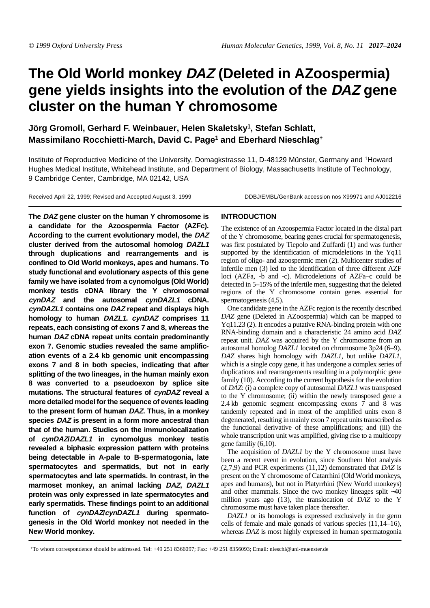# **The Old World monkey DAZ (Deleted in AZoospermia) gene yields insights into the evolution of the DAZ gene cluster on the human Y chromosome**

**Jörg Gromoll, Gerhard F. Weinbauer, Helen Skaletsk[y1,](#page-0-0) Stefan Schlatt, Massimilano Rocchietti-March, David C. Page[1](#page-0-0) and Eberhard Nieschlag+**

<span id="page-0-0"></span>Institute of Reproductive Medicine of the University, Domagkstrasse 11, D-48129 Münster, Germany and 1Howard Hughes Medical Institute, Whitehead Institute, and Department of Biology, Massachusetts Institute of Technology, 9 Cambridge Center, Cambridge, MA 02142, USA

Received April 22, 1999; Revised and Accepted August 3, 1999 DDBJ/EMBL/GenBank accession nos X99971 and AJ012216

**The DAZ gene cluster on the human Y chromosome is a candidate for the Azoospermia Factor (AZFc). According to the current evolutionary model, the DAZ cluster derived from the autosomal homolog DAZL1 through duplications and rearrangements and is confined to Old World monkeys, apes and humans. To study functional and evolutionary aspects of this gene family we have isolated from a cynomolgus (Old World) monkey testis cDNA library the Y chromosomal cynDAZ and the autosomal cynDAZL1 cDNA. cynDAZL1 contains one DAZ repeat and displays high homology to human DAZL1. cynDAZ comprises 11 repeats, each consisting of exons 7 and 8, whereas the human DAZ cDNA repeat units contain predominantly exon 7. Genomic studies revealed the same amplification events of a 2.4 kb genomic unit encompassing exons 7 and 8 in both species, indicating that after splitting of the two lineages, in the human mainly exon 8 was converted to a pseudoexon by splice site mutations. The structural features of cynDAZ reveal a more detailed model for the sequence of events leading to the present form of human DAZ. Thus, in a monkey species DAZ is present in a form more ancestral than that of the human. Studies on the immunolocalization of cynDAZ/DAZL1 in cynomolgus monkey testis revealed a biphasic expression pattern with proteins being detectable in A-pale to B-spermatogonia, late spermatocytes and spermatids, but not in early spermatocytes and late spermatids. In contrast, in the marmoset monkey, an animal lacking DAZ, DAZL1 protein was only expressed in late spermatocytes and early spermatids. These findings point to an additional** function of cynDAZ/cynDAZL1 during spermato**genesis in the Old World monkey not needed in the New World monkey.**

## **INTRODUCTION**

The existence of an Azoospermia Factor located in the distal part of the Y chromosome, bearing genes crucial for spermatogenesis, was first postulated by Tiepolo and Zuffardi ([1\)](#page-7-0) and was further supported by the identification of microdeletions in the Yq11 region of oligo- and azoospermic men ([2](#page-7-1)). Multicenter studies of infertile men [\(3](#page-7-2)) led to the identification of three different AZF loci (AZFa, -b and -c). Microdeletions of AZFa–c could be detected in 5–15% of the infertile men, suggesting that the deleted regions of the Y chromosome contain genes essential for spermatogenesis ([4](#page-7-3),[5\)](#page-7-4).

One candidate gene in the AZFc region is the recently described *DAZ* gene (Deleted in AZoospermia) which can be mapped to Yq11.23 ([2\)](#page-7-1). It encodes a putative RNA-binding protein with one RNA-binding domain and a characteristic 24 amino acid *DAZ* repeat unit. *DAZ* was acquired by the Y chromosome from an autosomal homolog *DAZL1* located on chromosome 3p24 [\(6](#page-7-5)[–9\)](#page-7-6). *DAZ* shares high homology with *DAZL1*, but unlike *DAZL1*, which is a single copy gene, it has undergone a complex series of duplications and rearrangements resulting in a polymorphic gene family [\(10](#page-7-7)). According to the current hypothesis for the evolution of *DAZ*: (i) a complete copy of autosomal *DAZL1* was transposed to the Y chromosome; (ii) within the newly transposed gene a 2.4 kb genomic segment encompassing exons 7 and 8 was tandemly repeated and in most of the amplified units exon 8 degenerated, resulting in mainly exon 7 repeat units transcribed as the functional derivative of these amplifications; and (iii) the whole transcription unit was amplified, giving rise to a multicopy gene familiy [\(6](#page-7-5),[10\)](#page-7-7).

The acquisition of *DAZL1* by the Y chromosome must have been a recent event in evolution, since Southern blot analysis [\(2](#page-7-1)[,7](#page-7-8),[9\)](#page-7-6) and PCR experiments ([11,](#page-7-9)[12\)](#page-7-10) demonstrated that *DAZ* is present on the Y chromosome of Catarrhini (Old World monkeys, apes and humans), but not in Platyrrhini (New World monkeys) and other mammals. Since the two monkey lineages split ∼40 million years ago [\(13\)](#page-7-11), the translocation of *DAZ* to the Y chromosome must have taken place thereafter.

*DAZL1* or its homologs is expressed exclusively in the germ cells of female and male gonads of various species [\(11](#page-7-9)[,14](#page-7-12)[–16\)](#page-7-13), whereas *DAZ* is most highly expressed in human spermatogonia

+To whom correspondence should be addressed. Tel: +49 251 8366097; Fax: +49 251 8356093; Email: nieschl@uni-muenster.de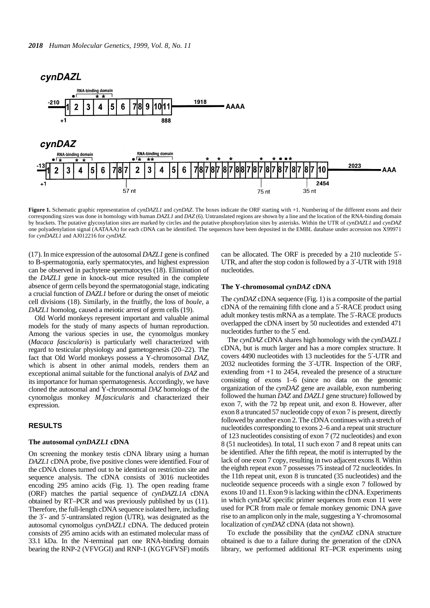# cynDAZL

<span id="page-1-0"></span>

**Figure 1.** Schematic graphic representation of *cynDAZL1* and *cynDAZ*. The boxes indicate the ORF starting with +1. Numbering of the different exons and their corresponding sizes was done in homology with human *DAZL1* and *DAZ* (6). Untranslated regions are shown by a line and the location of the RNA-binding domain by brackets. The putative glycosylation sites are marked by circles and the putative phosphorylation sites by asterisks. Within the UTR of *cynDAZL1* and *cynDAZ* one polyadenylation signal (AATAAA) for each cDNA can be identified. The sequences have been deposited in the EMBL database under accession nos X99971 for *cynDAZL1* and AJ012216 for *cynDAZ*.

([17\)](#page-7-14). In mice expression of the autosomal *DAZL1* gene is confined to B-spermatogonia, early spermatocytes, and highest expression can be observed in pachytene spermatocytes ([18](#page-7-15)). Elimination of the *DAZL1* gene in knock-out mice resulted in the complete absence of germ cells beyond the spermatogonial stage, indicating a crucial function of *DAZL1* before or during the onset of meiotic cell divisions ([18\)](#page-7-15). Similarly, in the fruitfly, the loss of *boule*, a *DAZL1* homolog, caused a meiotic arrest of germ cells [\(19\)](#page-7-16).

Old World monkeys represent important and valuable animal models for the study of many aspects of human reproduction. Among the various species in use, the cynomolgus monkey (*Macaca fascicularis*) is particularly well characterized with regard to testicular physiology and gametogenesis ([20](#page-7-17)[–22](#page-7-18)). The fact that Old World monkeys possess a Y-chromosomal *DAZ*, which is absent in other animal models, renders them an exceptional animal suitable for the functional analyis of *DAZ* and its importance for human spermatogenesis. Accordingly, we have cloned the autosomal and Y-chromosomal *DAZ* homologs of the cynomolgus monkey *M.fascicularis* and characterized their expression.

#### **RESULTS**

#### **The autosomal** *cynDAZL1* **cDNA**

On screening the monkey testis cDNA library using a human *DAZL1* cDNA probe, five positive clones were identified. Four of the cDNA clones turned out to be identical on restriction site and sequence analysis. The cDNA consists of 3016 nucleotides encoding 295 amino acids (Fig. [1\)](#page-7-19). The open reading frame (ORF) matches the partial sequence of *cynDAZL1A* cDNA obtained by RT–PCR and was previously published by us ([11\)](#page-7-9). Therefore, the full-length cDNA sequence isolated here, including the 3′- and 5′-untranslated region (UTR), was designated as the autosomal cynomolgus *cynDAZL1* cDNA. The deduced protein consists of 295 amino acids with an estimated molecular mass of 33.1 kDa. In the N-terminal part one RNA-binding domain bearing the RNP-2 (VFVGGI) and RNP-1 (KGYGFVSF) motifs can be allocated. The ORF is preceded by a 210 nucleotide 5′- UTR, and after the stop codon is followed by a 3′-UTR with 1918 nucleotides.

#### **The Y-chromosomal** *cynDAZ* **cDNA**

The *cynDAZ* cDNA sequence (Fig. [1](#page-7-19)) is a composite of the partial cDNA of the remaining fifth clone and a 5′-RACE product using adult monkey testis mRNA as a template. The 5′-RACE products overlapped the cDNA insert by 50 nucleotides and extended 471 nucleotides further to the 5′ end.

The *cynDAZ* cDNA shares high homology with the *cynDAZL1* cDNA, but is much larger and has a more complex structure. It covers 4490 nucleotides with 13 nucleotides for the 5′-UTR and 2032 nucleotides forming the 3′-UTR. Inspection of the ORF, extending from +1 to 2454, revealed the presence of a structure consisting of exons 1–6 (since no data on the genomic organization of the *cynDAZ* gene are available, exon numbering followed the human *DAZ* and *DAZL1* gene structure) followed by exon 7, with the 72 bp repeat unit, and exon 8. However, after exon 8 a truncated 57 nucleotide copy of exon 7 is present, directly followed by another exon 2. The cDNA continues with a stretch of nucleotides corresponding to exons 2–6 and a repeat unit structure of 123 nucleotides consisting of exon 7 (72 nucleotides) and exon 8 (51 nucleotides). In total, 11 such exon 7 and 8 repeat units can be identified. After the fifth repeat, the motif is interrupted by the lack of one exon 7 copy, resulting in two adjacent exons 8. Within the eighth repeat exon 7 possesses 75 instead of 72 nucleotides. In the 11th repeat unit, exon 8 is truncated (35 nucleotides) and the nucleotide sequence proceeds with a single exon 7 followed by exons 10 and 11. Exon 9 is lacking within the cDNA. Experiments in which *cynDAZ* specific primer sequences from exon 11 were used for PCR from male or female monkey genomic DNA gave rise to an amplicon only in the male, suggesting a Y-chromosomal localization of *cynDAZ* cDNA (data not shown).

To exclude the possibility that the *cynDAZ* cDNA structure obtained is due to a failure during the generation of the cDNA library, we performed additional RT–PCR experiments using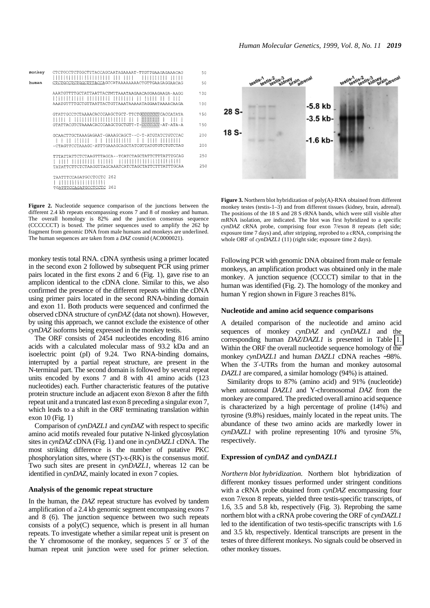<span id="page-2-0"></span>

**Figure 2.** Nucleotide sequence comparison of the junctions between the different 2.4 kb repeats encompassing exons 7 and 8 of monkey and human. The overall homology is  $82\%$  and the junction consensus sequence (CCCCCCT) is boxed. The primer sequences used to amplify the 262 bp fragment from genomic DNA from male humans and monkeys are underlined. The human sequences are taken from a *DAZ* cosmid (AC0000021).

monkey testis total RNA. cDNA synthesis using a primer located in the second exon 2 followed by subsequent PCR using primer pairs located in the first exons 2 and 6 (Fig. [1\)](#page-1-0), gave rise to an amplicon identical to the cDNA clone. Similar to this, we also confirmed the presence of the different repeats within the cDNA using primer pairs located in the second RNA-binding domain and exon 11. Both products were sequenced and confirmed the observed cDNA structure of *cynDAZ* (data not shown). However, by using this approach, we cannot exclude the existence of other *cynDAZ* isoforms being expressed in the monkey testis.

The ORF consists of 2454 nucleotides encoding 816 amino acids with a calculated molecular mass of 93.2 kDa and an isoelectric point (pI) of 9.24. Two RNA-binding domains, interrupted by a partial repeat structure, are present in the N-terminal part. The second domain is followed by several repeat units encoded by exons 7 and 8 with 41 amino acids (123 nucleotides) each. Further characteristic features of the putative protein structure include an adjacent exon 8/exon 8 after the fifth repeat unit and a truncated last exon 8 preceding a singular exon 7, which leads to a shift in the ORF terminating translation within exon 10 (Fig. [1\)](#page-1-0)

Comparison of *cynDAZL1* and *cynDAZ* with respect to specific amino acid motifs revealed four putative N-linked glycosylation sites in *cynDAZ* cDNA (Fig. [1](#page-1-0)) and one in *cynDAZL1* cDNA. The most striking difference is the number of putative PKC phosphorylation sites, where (ST)-x-(RK) is the consensus motif. Two such sites are present in *cynDAZL1*, whereas 12 can be identified in *cynDAZ*, mainly located in exon 7 copies.

## **Analysis of the genomic repeat structure**

In the human, the *DAZ* repeat structure has evolved by tandem amplification of a 2.4 kb genomic segment encompassing exons 7 and 8 [\(6](#page-7-5)). The junction sequence between two such repeats consists of a poly(C) sequence, which is present in all human repeats. To investigate whether a similar repeat unit is present on the Y chromosome of the monkey, sequences 5′ or 3′ of the human repeat unit junction were used for primer selection.



**Figure 3.** Northern blot hybridization of poly(A)-RNA obtained from different monkey testes (testis-1–3) and from different tissues (kidney, brain, adrenal). The positions of the 18 S and 28 S rRNA bands, which were still visible after mRNA isolation, are indicated. The blot was first hybridized to a specific *cynDAZ* cRNA probe, comprising four exon 7/exon 8 repeats (left side; exposure time 7 days) and, after stripping, reprobed to a cRNA, comprising the whole ORF of *cynDAZL1* (11) (right side; exposure time 2 days).

Following PCR with genomic DNA obtained from male or female monkeys, an amplification product was obtained only in the male monkey. A junction sequence (CCCCT) similar to that in the human was identified (Fig. [2\)](#page-2-0). The homology of the monkey and human Y region shown in Figure [3](#page-2-0) reaches 81%.

#### **Nucleotide and amino acid sequence comparisons**

A detailed comparison of the nucleotide and amino acid sequences of monkey *cynDAZ* and *cynDAZL1* and the corresponding human *DAZ*/*DAZL1* is presented in Table [1.](#page-3-0) Within the ORF the overall nucleotide sequence homology of the monkey *cynDAZL1* and human *DAZL1* cDNA reaches ∼98%. When the 3'-UTRs from the human and monkey autosomal *DAZL1* are compared, a similar homology (94%) is attained.

Similarity drops to 87% (amino acid) and 91% (nucleotide) when autosomal *DAZL1* and Y-chromosomal *DAZ* from the monkey are compared. The predicted overall amino acid sequence is characterized by a high percentage of proline (14%) and tyrosine (9.8%) residues, mainly located in the repeat units. The abundance of these two amino acids are markedly lower in *cynDAZL1* with proline representing 10% and tyrosine 5%, respectively.

#### **Expression of** *cynDAZ* **and** *cynDAZL1*

*Northern blot hybridization.* Northern blot hybridization of different monkey tissues performed under stringent conditions with a cRNA probe obtained from *cynDAZ* encompassing four exon 7/exon 8 repeats, yielded three testis-specific transcripts, of 1.6, 3.5 and 5.8 kb, respectively (Fig. [3](#page-2-0)). Reprobing the same northern blot with a cRNA probe covering the ORF of *cynDAZL1* led to the identification of two testis-specific transcripts with 1.6 and 3.5 kb, respectively. Identical transcripts are present in the testes of three different monkeys. No signals could be observed in other monkey tissues.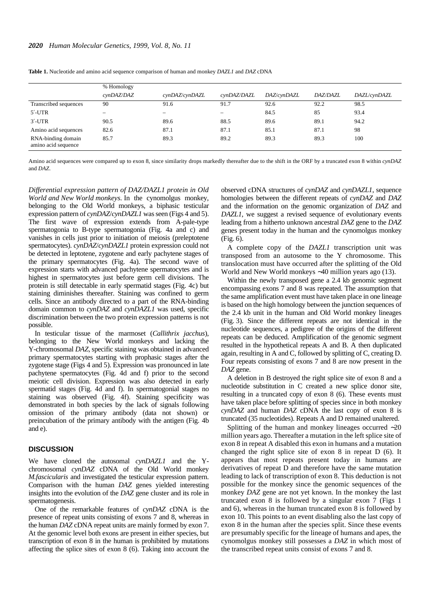|                                           | % Homology               |                                 |             |             |                 |              |
|-------------------------------------------|--------------------------|---------------------------------|-------------|-------------|-----------------|--------------|
|                                           | cynDAZ/DAZ               | cynDAZ/cynDAZL                  | cynDAZ/DAZL | DAZ/cynDAZL | <i>DAZ/DAZL</i> | DAZL/cynDAZL |
| Transcribed sequences                     | 90                       | 91.6                            | 91.7        | 92.6        | 92.2            | 98.5         |
| $5'$ -UTR                                 | $\overline{\phantom{0}}$ | $\hspace{0.1mm}-\hspace{0.1mm}$ | -           | 84.5        | 85              | 93.4         |
| $3'$ -UTR                                 | 90.5                     | 89.6                            | 88.5        | 89.6        | 89.1            | 94.2         |
| Amino acid sequences                      | 82.6                     | 87.1                            | 87.1        | 85.1        | 87.1            | 98           |
| RNA-binding domain<br>amino acid sequence | 85.7                     | 89.3                            | 89.2        | 89.3        | 89.3            | 100          |

<span id="page-3-0"></span>**Table 1.** Nucleotide and amino acid sequence comparison of human and monkey *DAZL1* and *DAZ* cDNA

Amino acid sequences were compared up to exon 8, since similarity drops markedly thereafter due to the shift in the ORF by a truncated exon 8 within *cynDAZ* and *DAZ*.

*Differential expression pattern of DAZ/DAZL1 protein in Old World and New World monkeys.* In the cynomolgus monkey, belonging to the Old World monkeys, a biphasic testicular expression pattern of *cynDAZ*/*cynDAZL1* was seen (Figs [4](#page-4-0) and [5\)](#page-7-19). The first wave of expression extends from A-pale-type spermatogonia to B-type spermatogonia (Fig. [4](#page-4-0)a and c) and vanishes in cells just prior to initiation of meiosis (preleptotene spermatocytes). *cynDAZ*/*cynDAZL1* protein expression could not be detected in leptotene, zygotene and early pachytene stages of the primary spermatocytes (Fig. [4](#page-4-0)a). The second wave of expression starts with advanced pachytene spermatocytes and is highest in spermatocytes just before germ cell divisions. The protein is still detectable in early spermatid stages (Fig. [4c](#page-4-0)) but staining diminishes thereafter. Staining was confined to germ cells. Since an antibody directed to a part of the RNA-binding domain common to *cynDAZ* and *cynDAZL1* was used, specific discrimination between the two protein expression patterns is not possible.

In testicular tissue of the marmoset (*Callithrix jacchus*), belonging to the New World monkeys and lacking the Y-chromosomal *DAZ*, specific staining was obtained in advanced primary spermatocytes starting with prophasic stages after the zygotene stage (Figs [4](#page-2-0) and [5](#page-5-0)). Expression was pronounced in late pachytene spermatocytes (Fig. [4d](#page-4-0) and f) prior to the second meiotic cell division. Expression was also detected in early spermatid stages (Fig. [4](#page-4-0)d and f). In spermatogonial stages no staining was observed (Fig. [4f](#page-4-0)). Staining specificity was demonstrated in both species by the lack of signals following omission of the primary antibody (data not shown) or preincubation of the primary antibody with the antigen (Fig. [4](#page-4-0)b and e).

#### **DISCUSSION**

We have cloned the autosomal *cynDAZL1* and the Ychromosomal *cynDAZ* cDNA of the Old World monkey *M.fascicularis* and investigated the testicular expression pattern. Comparison with the human *DAZ* genes yielded interesting insights into the evolution of the *DAZ* gene cluster and its role in spermatogenesis.

One of the remarkable features of *cynDAZ* cDNA is the presence of repeat units consisting of exons 7 and 8, whereas in the human *DAZ* cDNA repeat units are mainly formed by exon 7. At the genomic level both exons are present in either species, but transcription of exon 8 in the human is prohibited by mutations affecting the splice sites of exon 8 ([6\)](#page-7-5). Taking into account the

observed cDNA structures of *cynDAZ* and *cynDAZL1*, sequence homologies between the different repeats of *cynDAZ* and *DAZ* and the information on the genomic organization of *DAZ* and *DAZL1*, we suggest a revised sequence of evolutionary events leading from a hitherto unknown ancestral *DAZ* gene to the *DAZ* genes present today in the human and the cynomolgus monkey (Fig. [6](#page-5-0)).

A complete copy of the *DAZL1* transcription unit was transposed from an autosome to the Y chromosome. This translocation must have occurred after the splitting of the Old World and New World monkeys ∼40 million years ago [\(13](#page-7-11)).

Within the newly transposed gene a 2.4 kb genomic segment encompassing exons 7 and 8 was repeated. The assumption that the same amplification event must have taken place in one lineage is based on the high homology between the junction sequences of the 2.4 kb unit in the human and Old World monkey lineages (Fig. [3](#page-2-0)). Since the different repeats are not identical in the nucleotide sequences, a pedigree of the origins of the different repeats can be deduced. Amplification of the genomic segment resulted in the hypothetical repeats A and B. A then duplicated again, resulting in A and C, followed by splitting of C, creating D. Four repeats consisting of exons 7 and 8 are now present in the *DAZ* gene.

A deletion in B destroyed the right splice site of exon 8 and a nucleotide substitution in C created a new splice donor site, resulting in a truncated copy of exon 8 [\(6](#page-7-5)). These events must have taken place before splitting of species since in both monkey *cynDAZ* and human *DAZ* cDNA the last copy of exon 8 is truncated (35 nucleotides). Repeats A and D remained unaltered.

Splitting of the human and monkey lineages occurred ∼20 million years ago. Thereafter a mutation in the left splice site of exon 8 in repeat A disabled this exon in humans and a mutation changed the right splice site of exon 8 in repeat D [\(6\)](#page-7-5). It appears that most repeats present today in humans are derivatives of repeat D and therefore have the same mutation leading to lack of transcription of exon 8. This deduction is not possible for the monkey since the genomic sequences of the monkey *DAZ* gene are not yet known. In the monkey the last truncated exon 8 is followed by a singular exon 7 (Figs [1](#page-1-0) and [6\)](#page-5-0), whereas in the human truncated exon 8 is followed by exon 10. This points to an event disabling also the last copy of exon 8 in the human after the species split. Since these events are presumably specific for the lineage of humans and apes, the cynomolgus monkey still possesses a *DAZ* in which most of the transcribed repeat units consist of exons 7 and 8.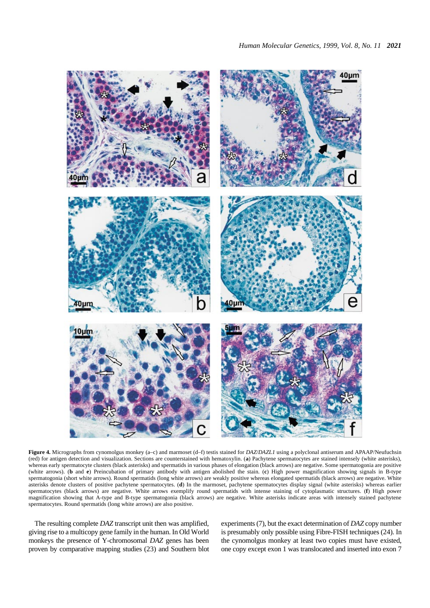<span id="page-4-0"></span>

**Figure 4.** Micrographs from cynomolgus monkey (a–c) and marmoset (d–f) testis stained for *DAZ*/*DAZL1* using a polyclonal antiserum and APAAP/Neufuchsin (red) for antigen detection and visualization. Sections are counterstained with hematoxylin. (**a**) Pachytene spermatocytes are stained intensely (white asterisks), whereas early spermatocyte clusters (black asterisks) and spermatids in various phases of elongation (black arrows) are negative. Some spermatogonia are positive (white arrows). (**b** and **e**) Preincubation of primary antibody with antigen abolished the stain. (**c**) High power magnification showing signals in B-type spermatogonia (short white arrows). Round spermatids (long white arrows) are weakly positive whereas elongated spermatids (black arrows) are negative. White asterisks denote clusters of positive pachytene spermatocytes. (**d**) In the marmoset, pachytene spermatocytes display signal (white asterisks) whereas earlier spermatocytes (black arrows) are negative. White arrows exemplify round spermatids with intense staining of cytoplasmatic structures. (**f**) High power magnification showing that A-type and B-type spermatogonia (black arrows) are negative. White asterisks indicate areas with intensely stained pachytene spermatocytes. Round spermatids (long white arrows) are also positive.

The resulting complete *DAZ* transcript unit then was amplified, giving rise to a multicopy gene family in the human. In Old World monkeys the presence of Y-chromosomal *DAZ* genes has been proven by comparative mapping studies ([23\)](#page-7-20) and Southern blot

experiments [\(7\)](#page-7-8), but the exact determination of *DAZ* copy number is presumably only possible using Fibre-FISH techniques [\(24](#page-7-21)). In the cynomolgus monkey at least two copies must have existed, one copy except exon 1 was translocated and inserted into exon 7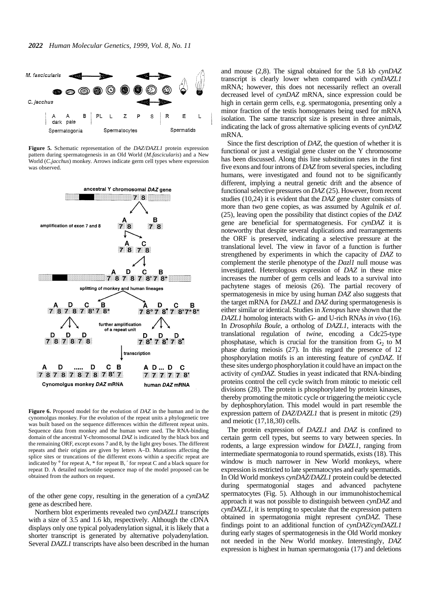<span id="page-5-0"></span>

**Figure 5.** Schematic representation of the *DAZ*/*DAZL1* protein expression pattern during spermatogenesis in an Old World (*M.fascicularis*) and a New World (*C.jacchus*) monkey. Arrows indicate germ cell types where expression was observed.



**Figure 6.** Proposed model for the evolution of *DAZ* in the human and in the cynomolgus monkey. For the evolution of the repeat units a phylogenetic tree was built based on the sequence differences within the different repeat units. Sequence data from monkey and the human were used. The RNA-binding domain of the ancestral Y-chromosomal *DAZ* is indicated by the black box and the remaining ORF, except exons 7 and 8, by the light grey boxes. The different repeats and their origins are given by letters A–D. Mutations affecting the splice sites or truncations of the different exons within a specific repeat are indicated by ° for repeat A, \* for repeat B, ′ for repeat C and a black square for repeat D. A detailed nucleotide sequence map of the model proposed can be obtained from the authors on request.

of the other gene copy, resulting in the generation of a *cynDAZ* gene as described here.

Northern blot experiments revealed two *cynDAZL1* transcripts with a size of 3.5 and 1.6 kb, respectively. Although the cDNA displays only one typical polyadenylation signal, it is likely that a shorter transcript is generated by alternative polyadenylation. Several *DAZL1* transcripts have also been described in the human

and mouse [\(2](#page-7-1)[,8](#page-7-22)). The signal obtained for the 5.8 kb *cynDAZ* transcript is clearly lower when compared with *cynDAZL1* mRNA; however, this does not necessarily reflect an overall decreased level of *cynDAZ* mRNA, since expression could be high in certain germ cells, e.g. spermatogonia, presenting only a minor fraction of the testis homogenates being used for mRNA isolation. The same transcript size is present in three animals, indicating the lack of gross alternative splicing events of *cynDAZ* mRNA.

Since the first description of *DAZ*, the question of whether it is functional or just a vestigial gene cluster on the Y chromosome has been discussed. Along this line substitution rates in the first five exons and four introns of *DAZ* from several species, including humans, were investigated and found not to be significantly different, implying a neutral genetic drift and the absence of functional selective pressures on *DAZ* [\(25](#page-7-23)). However, from recent studies [\(10](#page-7-7),[24](#page-7-21)) it is evident that the *DAZ* gene cluster consists of more than two gene copies, as was assumed by Agulnik *et al.* [\(25](#page-7-23)), leaving open the possibility that distinct copies of the *DAZ* gene are beneficial for spermatogenesis. For *cynDAZ* it is noteworthy that despite several duplications and rearrangements the ORF is preserved, indicating a selective pressure at the translational level. The view in favor of a function is further strengthened by experiments in which the capacity of *DAZ* to complement the sterile phenotype of the *Dazl1* null mouse was investigated. Heterologous expression of *DAZ* in these mice increases the number of germ cells and leads to a survival into pachytene stages of meiosis [\(26\)](#page-7-24). The partial recovery of spermatogenesis in mice by using human *DAZ* also suggests that the target mRNA for *DAZL1* and *DAZ* during spermatogenesis is either similar or identical. Studies in *Xenopus* have shown that the *DAZL1* homolog interacts with G- and U-rich RNAs *in vivo* [\(16\)](#page-7-13). In *Drosophila Boule*, a ortholog of *DAZL1*, interacts with the translational regulation of *twine*, encoding a Cdc25-type phosphatase, which is crucial for the transition from  $G<sub>2</sub>$  to M phase during meiosis [\(27\)](#page-7-25). In this regard the presence of 12 phosphorylation motifs is an interesting feature of *cynDAZ*. If these sites undergo phosphorylation it could have an impact on the activity of *cynDAZ*. Studies in yeast indicated that RNA-binding proteins control the cell cycle switch from mitotic to meiotic cell divisions [\(28](#page-7-26)). The protein is phosphorylated by protein kinases, thereby promoting the mitotic cycle or triggering the meiotic cycle by dephosphorylation. This model would in part resemble the expression pattern of *DAZ*/*DAZL1* that is present in mitotic [\(29](#page-7-27)) and meiotic [\(17](#page-7-14)[,18](#page-7-15),[30\)](#page-7-28) cells.

The protein expression of *DAZL1* and *DAZ* is confined to certain germ cell types, but seems to vary between species. In rodents, a large expression window for *DAZL1*, ranging from intermediate spermatogonia to round spermatids, exists [\(18\)](#page-7-15). This window is much narrower in New World monkeys, where expression is restricted to late spermatocytes and early spermatids. In Old World monkeys *cynDAZ*/*DAZL1* protein could be detected during spermatogonial stages and advanced pachytene spermatocytes (Fig. [5](#page-5-0)). Although in our immunohistochemical approach it was not possible to distinguish between *cynDAZ* and *cynDAZL1*, it is tempting to speculate that the expression pattern obtained in spermatogonia might represent *cynDAZ*. These findings point to an additional function of *cynDAZ*/*cynDAZL1* during early stages of spermatogenesis in the Old World monkey not needed in the New World monkey. Interestingly, *DAZ* expression is highest in human spermatogonia [\(17\)](#page-7-14) and deletions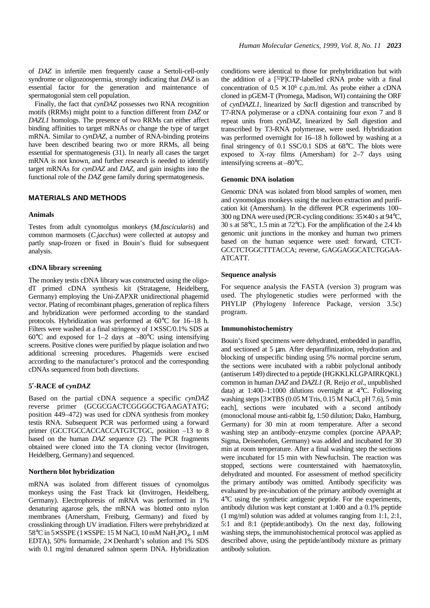of *DAZ* in infertile men frequently cause a Sertoli-cell-only syndrome or oligozoospermia, strongly indicating that *DAZ* is an essential factor for the generation and maintenance of spermatogonial stem cell population.

Finally, the fact that *cynDAZ* possesses two RNA recognition motifs (RRMs) might point to a function different from *DAZ* or *DAZL1* homologs. The presence of two RRMs can either affect binding affinities to target mRNAs or change the type of target mRNA. Similar to *cynDAZ*, a number of RNA-binding proteins have been described bearing two or more RRMs, all being essential for spermatogenesis [\(31](#page-7-29)). In nearly all cases the target mRNA is not known, and further research is needed to identify target mRNAs for *cynDAZ* and *DAZ*, and gain insights into the functional role of the *DAZ* gene family during spermatogenesis.

## **MATERIALS AND METHODS**

#### **Animals**

Testes from adult cynomolgus monkeys (*M.fascicularis*) and common marmosets (*C.jacchus*) were collected at autopsy and partly snap-frozen or fixed in Bouin's fluid for subsequent analysis.

#### **cDNA library screening**

The monkey testis cDNA library was constructed using the oligodT primed cDNA synthesis kit (Stratagene, Heidelberg, Germany) employing the Uni-ZAPXR unidirectional phagemid vector. Plating of recombinant phages, generation of replica filters and hybridization were performed according to the standard protocols. Hybridization was performed at 60°C for 16–18 h. Filters were washed at a final stringency of  $1 \times$  SSC/0.1% SDS at 60 $^{\circ}$ C and exposed for 1–2 days at –80 $^{\circ}$ C using intensifying screens. Positive clones were purified by plaque isolation and two additional screening procedures. Phagemids were excised according to the manufacturer's protocol and the corresponding cDNAs sequenced from both directions.

## **5**′**-RACE of** *cynDAZ*

Based on the partial cDNA sequence a specific *cynDAZ* reverse primer (GCGCGACTCGGGGCTGAAGATATG; position 449–472) was used for cDNA synthesis from monkey testis RNA. Subsequent PCR was performed using a forward primer (GCCTGCCACCACCATGTCTGC, position -13 to 8 based on the human *DAZ* sequence [\(2](#page-7-1)). The PCR fragments obtained were cloned into the TA cloning vector (Invitrogen, Heidelberg, Germany) and sequenced.

## **Northern blot hybridization**

mRNA was isolated from different tissues of cynomolgus monkeys using the Fast Track kit (Invitrogen, Heidelberg, Germany). Electrophoresis of mRNA was performed in 1% denaturing agarose gels, the mRNA was blotted onto nylon membranes (Amersham, Freiburg, Germany) and fixed by crosslinking through UV irradiation. Filters were prehybridized at 58°C in  $5 \times$  SSPE ( $1 \times$  SSPE: 15 M NaCl, 10 mM NaH<sub>2</sub>PO<sub>4</sub>, 1 mM EDTA), 50% formamide, 2× Denhardt's solution and 1% SDS with 0.1 mg/ml denatured salmon sperm DNA. Hybridization conditions were identical to those for prehybridization but with the addition of a  $[32P]$ CTP-labelled cRNA probe with a final concentration of  $0.5 \times 10^6$  c.p.m./ml. As probe either a cDNA cloned in pGEM-T (Promega, Madison, WI) containing the ORF of *cynDAZL1*, linearized by *Sac*II digestion and transcribed by T7-RNA polymerase or a cDNA containing four exon 7 and 8 repeat units from *cynDAZ*, linearized by *Sal*I digestion and transcribed by T3-RNA polymerase, were used. Hybridization was performed overnight for 16–18 h followed by washing at a final stringency of 0.1 SSC/0.1 SDS at 68°C. The blots were exposed to X-ray films (Amersham) for 2–7 days using intensifying screens at –80°C.

## **Genomic DNA isolation**

Genomic DNA was isolated from blood samples of women, men and cynomolgus monkeys using the nucleon extraction and purification kit (Amersham). In the different PCR experiments 100– 300 ng DNA were used (PCR-cycling conditions: 35× 40 s at 94°C, 30 s at 58°C, 1.5 min at 72°C). For the amplification of the 2.4 kb genomic unit junctions in the monkey and human two primers based on the human sequence were used: forward, CTCT-GCCTCTGGCTTTACCA; reverse, GAGGAGGCATCTGGAA-ATCATT.

#### **Sequence analysis**

For sequence analysis the FASTA (version 3) program was used. The phylogenetic studies were performed with the PHYLIP (Phylogeny Inference Package, version 3.5c) program.

#### **Immunohistochemistry**

Bouin's fixed specimens were dehydrated, embedded in paraffin, and sectioned at 5 µm. After deparaffinization, rehydration and blocking of unspecific binding using 5% normal porcine serum, the sections were incubated with a rabbit polyclonal antibody (antiserum 149) directed to a peptide (HGKKLKLGPAIRKQKL) common in human *DAZ* and *DAZL1* (R. Reijo *et al*., unpublished data) at 1:400–1:1000 dilutions overnight at 4°C. Following washing steps [3× TBS (0.05 M Tris, 0.15 M NaCl, pH 7.6), 5 min each], sections were incubated with a second antibody (monoclonal mouse anti-rabbit Ig, 1:50 dilution; Dako, Hamburg, Germany) for 30 min at room temperature. After a second washing step an antibody–enzyme complex (porcine APAAP; Sigma, Deisenhofen, Germany) was added and incubated for 30 min at room temperature. After a final washing step the sections were incubated for 15 min with Newfuchsin. The reaction was stopped, sections were counterstained with haematoxylin, dehydrated and mounted. For assessment of method specificity the primary antibody was omitted. Antibody specificity was evaluated by pre-incubation of the primary antibody overnight at 4°C using the synthetic antigenic peptide. For the experiments, antibody dilution was kept constant at 1:400 and a 0.1% peptide (1 mg/ml) solution was added at volumes ranging from 1:1, 2:1, 5:1 and 8:1 (peptide:antibody). On the next day, following washing steps, the immunohistochemical protocol was applied as described above, using the peptide/antibody mixture as primary antibody solution.